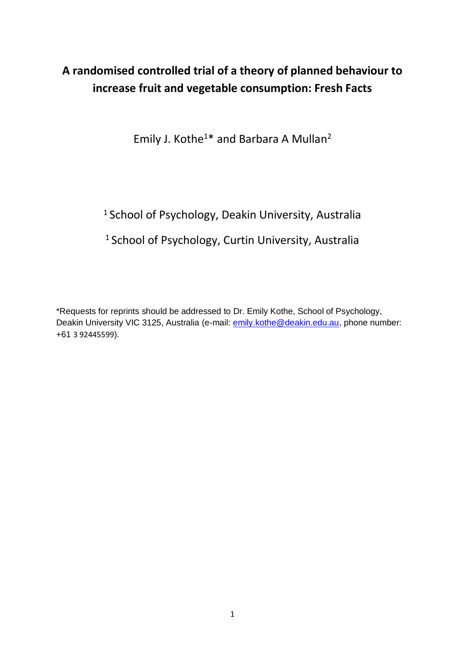# **A randomised controlled trial of a theory of planned behaviour to increase fruit and vegetable consumption: Fresh Facts**

Emily J. Kothe<sup>1\*</sup> and Barbara A Mullan<sup>2</sup>

<sup>1</sup> School of Psychology, Deakin University, Australia

# <sup>1</sup> School of Psychology, Curtin University, Australia

\*Requests for reprints should be addressed to Dr. Emily Kothe, School of Psychology, Deakin University VIC 3125, Australia (e-mail: [emily.kothe@deakin.edu.au,](mailto:emily.kothe@deakin.edu.au) phone number: +61 3 92445599).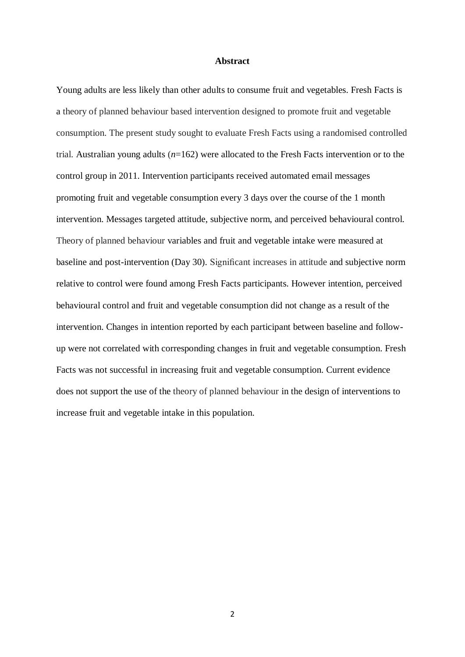#### **Abstract**

Young adults are less likely than other adults to consume fruit and vegetables. Fresh Facts is a theory of planned behaviour based intervention designed to promote fruit and vegetable consumption. The present study sought to evaluate Fresh Facts using a randomised controlled trial. Australian young adults (*n*=162) were allocated to the Fresh Facts intervention or to the control group in 2011. Intervention participants received automated email messages promoting fruit and vegetable consumption every 3 days over the course of the 1 month intervention. Messages targeted attitude, subjective norm, and perceived behavioural control. Theory of planned behaviour variables and fruit and vegetable intake were measured at baseline and post-intervention (Day 30). Significant increases in attitude and subjective norm relative to control were found among Fresh Facts participants. However intention, perceived behavioural control and fruit and vegetable consumption did not change as a result of the intervention. Changes in intention reported by each participant between baseline and followup were not correlated with corresponding changes in fruit and vegetable consumption. Fresh Facts was not successful in increasing fruit and vegetable consumption. Current evidence does not support the use of the theory of planned behaviour in the design of interventions to increase fruit and vegetable intake in this population.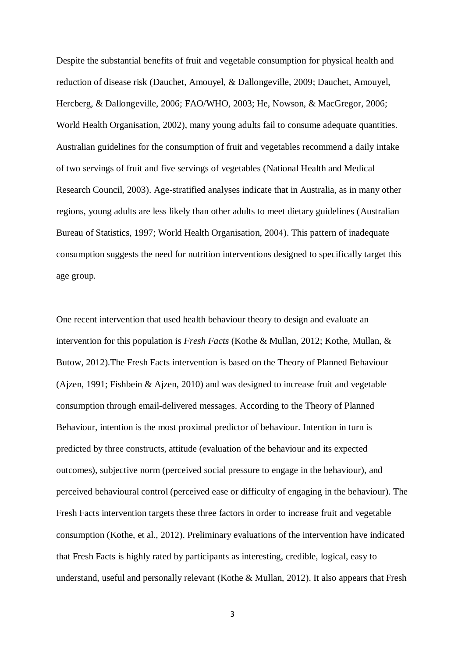Despite the substantial benefits of fruit and vegetable consumption for physical health and reduction of disease risk [\(Dauchet, Amouyel, & Dallongeville, 2009;](#page-21-0) [Dauchet, Amouyel,](#page-21-1) [Hercberg, & Dallongeville, 2006;](#page-21-1) [FAO/WHO, 2003;](#page-21-2) [He, Nowson, & MacGregor, 2006;](#page-22-0) [World Health Organisation, 2002\)](#page-24-0), many young adults fail to consume adequate quantities. Australian guidelines for the consumption of fruit and vegetables recommend a daily intake of two servings of fruit and five servings of vegetables [\(National Health and Medical](#page-23-0) [Research Council, 2003\)](#page-23-0). Age-stratified analyses indicate that in Australia, as in many other regions, young adults are less likely than other adults to meet dietary guidelines [\(Australian](#page-20-0) [Bureau of Statistics, 1997;](#page-20-0) [World Health Organisation, 2004\)](#page-24-1). This pattern of inadequate consumption suggests the need for nutrition interventions designed to specifically target this age group.

One recent intervention that used health behaviour theory to design and evaluate an intervention for this population is *Fresh Facts* [\(Kothe & Mullan, 2012;](#page-22-1) [Kothe, Mullan, &](#page-23-1) [Butow, 2012\)](#page-23-1).The Fresh Facts intervention is based on the Theory of Planned Behaviour [\(Ajzen, 1991;](#page-20-1) [Fishbein & Ajzen, 2010\)](#page-21-3) and was designed to increase fruit and vegetable consumption through email-delivered messages. According to the Theory of Planned Behaviour, intention is the most proximal predictor of behaviour. Intention in turn is predicted by three constructs, attitude (evaluation of the behaviour and its expected outcomes), subjective norm (perceived social pressure to engage in the behaviour), and perceived behavioural control (perceived ease or difficulty of engaging in the behaviour). The Fresh Facts intervention targets these three factors in order to increase fruit and vegetable consumption [\(Kothe, et al., 2012\)](#page-23-1). Preliminary evaluations of the intervention have indicated that Fresh Facts is highly rated by participants as interesting, credible, logical, easy to understand, useful and personally relevant [\(Kothe & Mullan, 2012\)](#page-22-1). It also appears that Fresh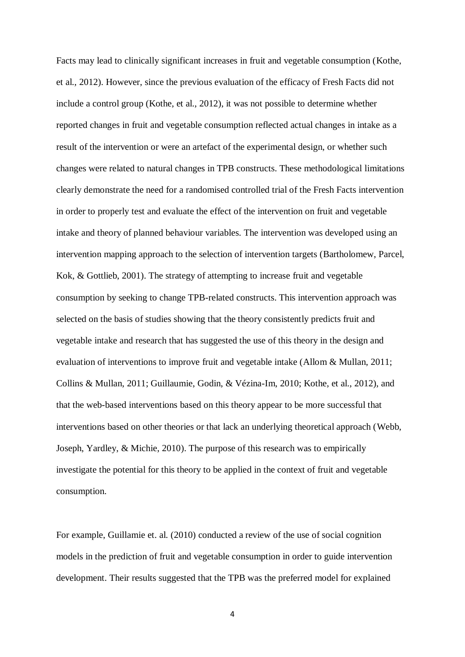Facts may lead to clinically significant increases in fruit and vegetable consumption [\(Kothe,](#page-23-1) [et al., 2012\)](#page-23-1). However, since the previous evaluation of the efficacy of Fresh Facts did not include a control group [\(Kothe, et al., 2012\)](#page-23-1), it was not possible to determine whether reported changes in fruit and vegetable consumption reflected actual changes in intake as a result of the intervention or were an artefact of the experimental design, or whether such changes were related to natural changes in TPB constructs. These methodological limitations clearly demonstrate the need for a randomised controlled trial of the Fresh Facts intervention in order to properly test and evaluate the effect of the intervention on fruit and vegetable intake and theory of planned behaviour variables. The intervention was developed using an intervention mapping approach to the selection of intervention targets [\(Bartholomew, Parcel,](#page-20-2) [Kok, & Gottlieb, 2001\)](#page-20-2). The strategy of attempting to increase fruit and vegetable consumption by seeking to change TPB-related constructs. This intervention approach was selected on the basis of studies showing that the theory consistently predicts fruit and vegetable intake and research that has suggested the use of this theory in the design and evaluation of interventions to improve fruit and vegetable intake [\(Allom & Mullan, 2011;](#page-20-3) [Collins & Mullan, 2011;](#page-21-4) [Guillaumie, Godin, & Vézina-Im, 2010;](#page-22-2) [Kothe, et al., 2012\)](#page-23-1), and that the web-based interventions based on this theory appear to be more successful that interventions based on other theories or that lack an underlying theoretical approach [\(Webb,](#page-24-2) [Joseph, Yardley, & Michie, 2010\)](#page-24-2). The purpose of this research was to empirically investigate the potential for this theory to be applied in the context of fruit and vegetable consumption.

For example, Guillamie et. al. [\(2010\)](#page-22-2) conducted a review of the use of social cognition models in the prediction of fruit and vegetable consumption in order to guide intervention development. Their results suggested that the TPB was the preferred model for explained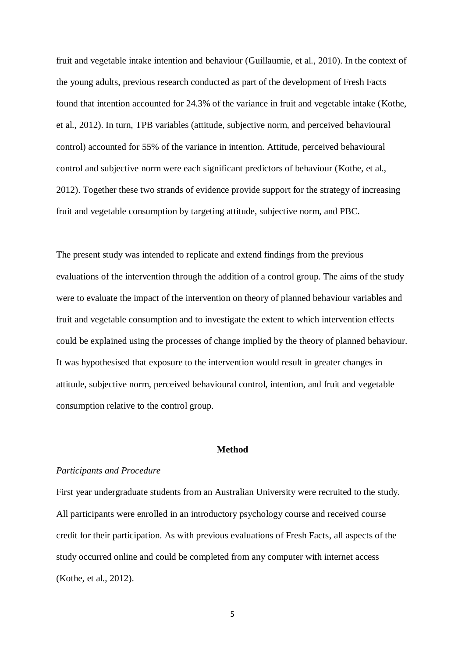fruit and vegetable intake intention and behaviour [\(Guillaumie, et al., 2010\)](#page-22-2). In the context of the young adults, previous research conducted as part of the development of Fresh Facts found that intention accounted for 24.3% of the variance in fruit and vegetable intake [\(Kothe,](#page-23-1) [et al., 2012\)](#page-23-1). In turn, TPB variables (attitude, subjective norm, and perceived behavioural control) accounted for 55% of the variance in intention. Attitude, perceived behavioural control and subjective norm were each significant predictors of behaviour [\(Kothe, et al.,](#page-23-1) [2012\)](#page-23-1). Together these two strands of evidence provide support for the strategy of increasing fruit and vegetable consumption by targeting attitude, subjective norm, and PBC.

The present study was intended to replicate and extend findings from the previous evaluations of the intervention through the addition of a control group. The aims of the study were to evaluate the impact of the intervention on theory of planned behaviour variables and fruit and vegetable consumption and to investigate the extent to which intervention effects could be explained using the processes of change implied by the theory of planned behaviour. It was hypothesised that exposure to the intervention would result in greater changes in attitude, subjective norm, perceived behavioural control, intention, and fruit and vegetable consumption relative to the control group.

### **Method**

#### *Participants and Procedure*

First year undergraduate students from an Australian University were recruited to the study. All participants were enrolled in an introductory psychology course and received course credit for their participation. As with previous evaluations of Fresh Facts, all aspects of the study occurred online and could be completed from any computer with internet access [\(Kothe, et al., 2012\)](#page-23-1).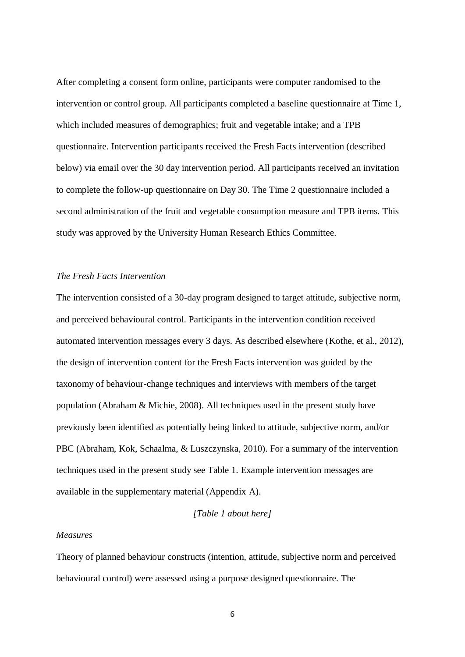After completing a consent form online, participants were computer randomised to the intervention or control group. All participants completed a baseline questionnaire at Time 1, which included measures of demographics; fruit and vegetable intake; and a TPB questionnaire. Intervention participants received the Fresh Facts intervention (described below) via email over the 30 day intervention period. All participants received an invitation to complete the follow-up questionnaire on Day 30. The Time 2 questionnaire included a second administration of the fruit and vegetable consumption measure and TPB items. This study was approved by the University Human Research Ethics Committee.

#### *The Fresh Facts Intervention*

The intervention consisted of a 30-day program designed to target attitude, subjective norm, and perceived behavioural control. Participants in the intervention condition received automated intervention messages every 3 days. As described elsewhere [\(Kothe, et al., 2012\)](#page-23-1), the design of intervention content for the Fresh Facts intervention was guided by the taxonomy of behaviour-change techniques and interviews with members of the target population [\(Abraham & Michie, 2008\)](#page-20-4). All techniques used in the present study have previously been identified as potentially being linked to attitude, subjective norm, and/or PBC (Abraham, Kok, Schaalma, & Luszczynska, 2010). For a summary of the intervention techniques used in the present study see Table 1. Example intervention messages are available in the supplementary material (Appendix A).

### *[Table 1 about here]*

#### *Measures*

Theory of planned behaviour constructs (intention, attitude, subjective norm and perceived behavioural control) were assessed using a purpose designed questionnaire. The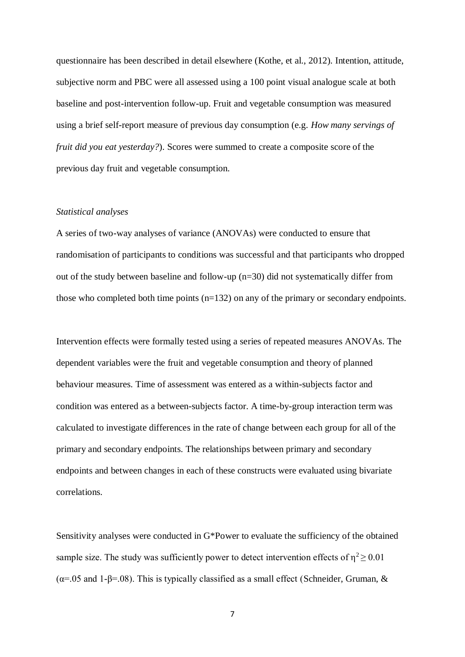questionnaire has been described in detail elsewhere [\(Kothe, et al., 2012\)](#page-23-1). Intention, attitude, subjective norm and PBC were all assessed using a 100 point visual analogue scale at both baseline and post-intervention follow-up. Fruit and vegetable consumption was measured using a brief self-report measure of previous day consumption (e.g. *How many servings of fruit did you eat yesterday?*). Scores were summed to create a composite score of the previous day fruit and vegetable consumption.

#### *Statistical analyses*

A series of two-way analyses of variance (ANOVAs) were conducted to ensure that randomisation of participants to conditions was successful and that participants who dropped out of the study between baseline and follow-up (n=30) did not systematically differ from those who completed both time points (n=132) on any of the primary or secondary endpoints.

Intervention effects were formally tested using a series of repeated measures ANOVAs. The dependent variables were the fruit and vegetable consumption and theory of planned behaviour measures. Time of assessment was entered as a within-subjects factor and condition was entered as a between-subjects factor. A time-by-group interaction term was calculated to investigate differences in the rate of change between each group for all of the primary and secondary endpoints. The relationships between primary and secondary endpoints and between changes in each of these constructs were evaluated using bivariate correlations.

Sensitivity analyses were conducted in G\*Power to evaluate the sufficiency of the obtained sample size. The study was sufficiently power to detect intervention effects of  $\eta^2 \ge 0.01$  $(\alpha = 0.05$  and 1-β=.08). This is typically classified as a small effect [\(Schneider, Gruman,](#page-23-2) &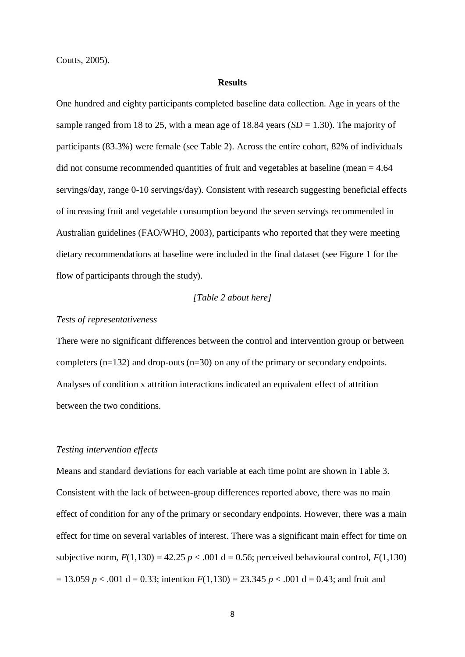[Coutts, 2005\)](#page-23-2).

### **Results**

One hundred and eighty participants completed baseline data collection. Age in years of the sample ranged from 18 to 25, with a mean age of 18.84 years (*SD* = 1.30). The majority of participants (83.3%) were female (see Table 2). Across the entire cohort, 82% of individuals did not consume recommended quantities of fruit and vegetables at baseline (mean  $= 4.64$ ) servings/day, range 0-10 servings/day). Consistent with research suggesting beneficial effects of increasing fruit and vegetable consumption beyond the seven servings recommended in Australian guidelines [\(FAO/WHO, 2003\)](#page-21-2), participants who reported that they were meeting dietary recommendations at baseline were included in the final dataset (see Figure 1 for the flow of participants through the study).

### *[Table 2 about here]*

### *Tests of representativeness*

There were no significant differences between the control and intervention group or between completers (n=132) and drop-outs (n=30) on any of the primary or secondary endpoints. Analyses of condition x attrition interactions indicated an equivalent effect of attrition between the two conditions.

#### *Testing intervention effects*

Means and standard deviations for each variable at each time point are shown in Table 3. Consistent with the lack of between-group differences reported above, there was no main effect of condition for any of the primary or secondary endpoints. However, there was a main effect for time on several variables of interest. There was a significant main effect for time on subjective norm,  $F(1,130) = 42.25$   $p < .001$  d = 0.56; perceived behavioural control,  $F(1,130)$  $= 13.059$  *p*  $< .001$  d  $= 0.33$ ; intention  $F(1,130) = 23.345$  *p*  $< .001$  d  $= 0.43$ ; and fruit and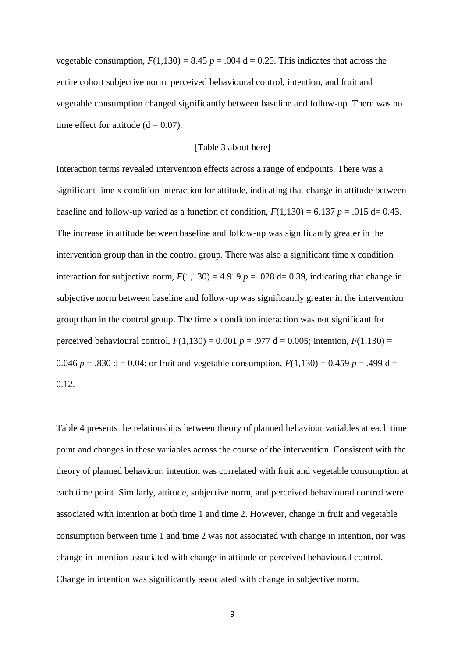vegetable consumption,  $F(1,130) = 8.45$   $p = .004$  d = 0.25. This indicates that across the entire cohort subjective norm, perceived behavioural control, intention, and fruit and vegetable consumption changed significantly between baseline and follow-up. There was no time effect for attitude  $(d = 0.07)$ .

### [Table 3 about here]

Interaction terms revealed intervention effects across a range of endpoints. There was a significant time x condition interaction for attitude, indicating that change in attitude between baseline and follow-up varied as a function of condition,  $F(1,130) = 6.137$   $p = .015$  d= 0.43. The increase in attitude between baseline and follow-up was significantly greater in the intervention group than in the control group. There was also a significant time x condition interaction for subjective norm,  $F(1,130) = 4.919$   $p = .028$  d= 0.39, indicating that change in subjective norm between baseline and follow-up was significantly greater in the intervention group than in the control group. The time x condition interaction was not significant for perceived behavioural control,  $F(1,130) = 0.001$   $p = .977$  d = 0.005; intention,  $F(1,130) =$ 0.046  $p = 0.830$  d = 0.04; or fruit and vegetable consumption,  $F(1,130) = 0.459$   $p = 0.499$  d = 0.12.

Table 4 presents the relationships between theory of planned behaviour variables at each time point and changes in these variables across the course of the intervention. Consistent with the theory of planned behaviour, intention was correlated with fruit and vegetable consumption at each time point. Similarly, attitude, subjective norm, and perceived behavioural control were associated with intention at both time 1 and time 2. However, change in fruit and vegetable consumption between time 1 and time 2 was not associated with change in intention, nor was change in intention associated with change in attitude or perceived behavioural control. Change in intention was significantly associated with change in subjective norm.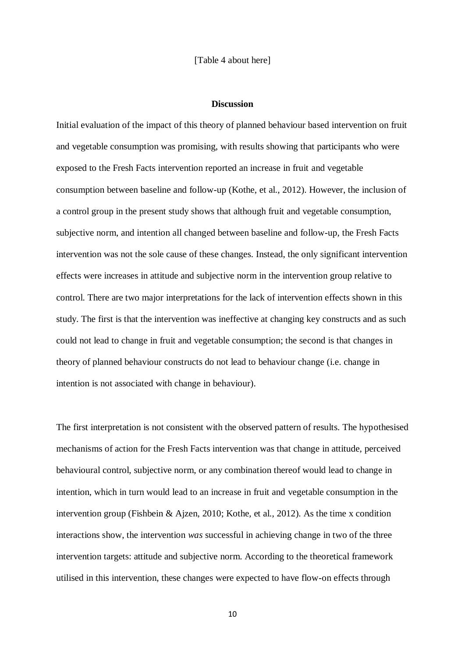[Table 4 about here]

#### **Discussion**

Initial evaluation of the impact of this theory of planned behaviour based intervention on fruit and vegetable consumption was promising, with results showing that participants who were exposed to the Fresh Facts intervention reported an increase in fruit and vegetable consumption between baseline and follow-up [\(Kothe, et al., 2012\)](#page-23-1). However, the inclusion of a control group in the present study shows that although fruit and vegetable consumption, subjective norm, and intention all changed between baseline and follow-up, the Fresh Facts intervention was not the sole cause of these changes. Instead, the only significant intervention effects were increases in attitude and subjective norm in the intervention group relative to control. There are two major interpretations for the lack of intervention effects shown in this study. The first is that the intervention was ineffective at changing key constructs and as such could not lead to change in fruit and vegetable consumption; the second is that changes in theory of planned behaviour constructs do not lead to behaviour change (i.e. change in intention is not associated with change in behaviour).

The first interpretation is not consistent with the observed pattern of results. The hypothesised mechanisms of action for the Fresh Facts intervention was that change in attitude, perceived behavioural control, subjective norm, or any combination thereof would lead to change in intention, which in turn would lead to an increase in fruit and vegetable consumption in the intervention group [\(Fishbein & Ajzen, 2010;](#page-21-3) [Kothe, et al., 2012\)](#page-23-1). As the time x condition interactions show, the intervention *was* successful in achieving change in two of the three intervention targets: attitude and subjective norm. According to the theoretical framework utilised in this intervention, these changes were expected to have flow-on effects through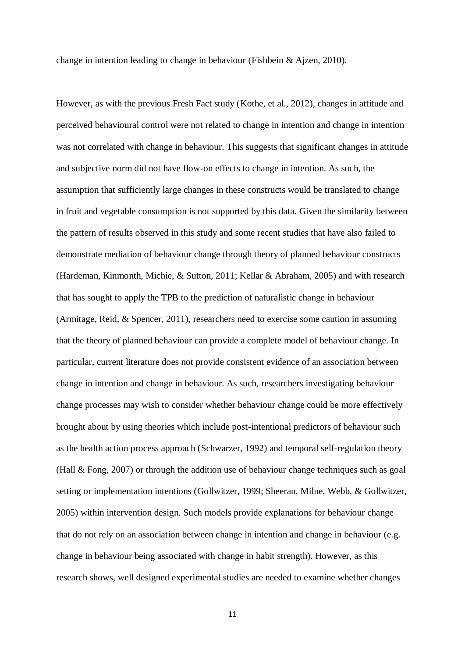change in intention leading to change in behaviour [\(Fishbein & Ajzen, 2010\)](#page-21-3).

However, as with the previous Fresh Fact study [\(Kothe, et al., 2012\)](#page-23-1), changes in attitude and perceived behavioural control were not related to change in intention and change in intention was not correlated with change in behaviour. This suggests that significant changes in attitude and subjective norm did not have flow-on effects to change in intention. As such, the assumption that sufficiently large changes in these constructs would be translated to change in fruit and vegetable consumption is not supported by this data. Given the similarity between the pattern of results observed in this study and some recent studies that have also failed to demonstrate mediation of behaviour change through theory of planned behaviour constructs [\(Hardeman, Kinmonth, Michie, & Sutton, 2011;](#page-22-3) [Kellar & Abraham, 2005\)](#page-22-4) and with research that has sought to apply the TPB to the prediction of naturalistic change in behaviour [\(Armitage, Reid, & Spencer, 2011\)](#page-20-5), researchers need to exercise some caution in assuming that the theory of planned behaviour can provide a complete model of behaviour change. In particular, current literature does not provide consistent evidence of an association between change in intention and change in behaviour. As such, researchers investigating behaviour change processes may wish to consider whether behaviour change could be more effectively brought about by using theories which include post-intentional predictors of behaviour such as the health action process approach [\(Schwarzer, 1992\)](#page-24-3) and temporal self-regulation theory [\(Hall & Fong, 2007\)](#page-22-5) or through the addition use of behaviour change techniques such as goal setting or implementation intentions [\(Gollwitzer, 1999;](#page-22-6) [Sheeran, Milne, Webb, & Gollwitzer,](#page-24-4) [2005\)](#page-24-4) within intervention design. Such models provide explanations for behaviour change that do not rely on an association between change in intention and change in behaviour (e.g. change in behaviour being associated with change in habit strength). However, as this research shows, well designed experimental studies are needed to examine whether changes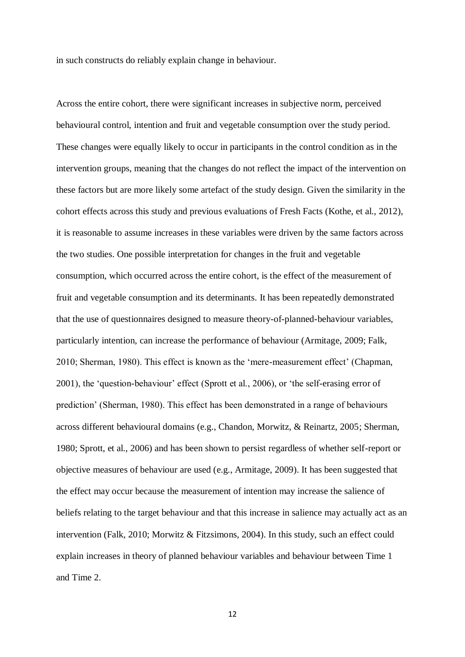in such constructs do reliably explain change in behaviour.

Across the entire cohort, there were significant increases in subjective norm, perceived behavioural control, intention and fruit and vegetable consumption over the study period. These changes were equally likely to occur in participants in the control condition as in the intervention groups, meaning that the changes do not reflect the impact of the intervention on these factors but are more likely some artefact of the study design. Given the similarity in the cohort effects across this study and previous evaluations of Fresh Facts [\(Kothe, et al., 2012\)](#page-23-1), it is reasonable to assume increases in these variables were driven by the same factors across the two studies. One possible interpretation for changes in the fruit and vegetable consumption, which occurred across the entire cohort, is the effect of the measurement of fruit and vegetable consumption and its determinants. It has been repeatedly demonstrated that the use of questionnaires designed to measure theory-of-planned-behaviour variables, particularly intention, can increase the performance of behaviour (Armitage, 2009; Falk, 2010; Sherman, 1980). This effect is known as the 'mere-measurement effect' [\(Chapman,](#page-21-5) [2001\)](#page-21-5), the 'question-behaviour' effect (Sprott et al., 2006), or 'the self-erasing error of prediction' (Sherman, 1980). This effect has been demonstrated in a range of behaviours across different behavioural domains (e.g., Chandon, Morwitz, & Reinartz, 2005; Sherman, 1980; Sprott, et al., 2006) and has been shown to persist regardless of whether self-report or objective measures of behaviour are used [\(e.g., Armitage, 2009\)](#page-20-6). It has been suggested that the effect may occur because the measurement of intention may increase the salience of beliefs relating to the target behaviour and that this increase in salience may actually act as an intervention (Falk, 2010; Morwitz & Fitzsimons, 2004). In this study, such an effect could explain increases in theory of planned behaviour variables and behaviour between Time 1 and Time 2.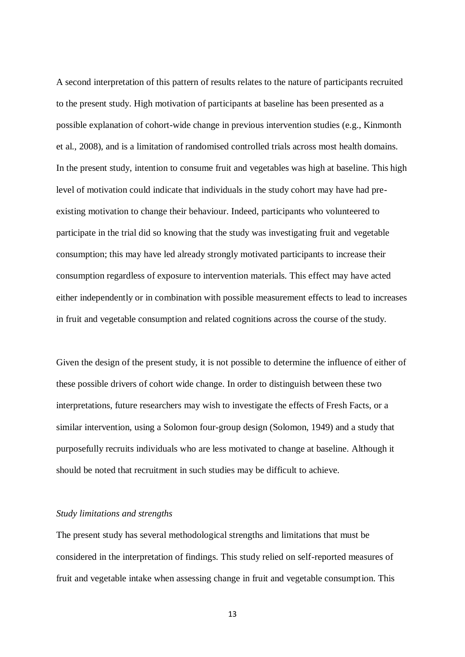A second interpretation of this pattern of results relates to the nature of participants recruited to the present study. High motivation of participants at baseline has been presented as a possible explanation of cohort-wide change in previous intervention studies (e.g., Kinmonth et al., 2008), and is a limitation of randomised controlled trials across most health domains. In the present study, intention to consume fruit and vegetables was high at baseline. This high level of motivation could indicate that individuals in the study cohort may have had preexisting motivation to change their behaviour. Indeed, participants who volunteered to participate in the trial did so knowing that the study was investigating fruit and vegetable consumption; this may have led already strongly motivated participants to increase their consumption regardless of exposure to intervention materials. This effect may have acted either independently or in combination with possible measurement effects to lead to increases in fruit and vegetable consumption and related cognitions across the course of the study.

Given the design of the present study, it is not possible to determine the influence of either of these possible drivers of cohort wide change. In order to distinguish between these two interpretations, future researchers may wish to investigate the effects of Fresh Facts, or a similar intervention, using a Solomon four-group design (Solomon, 1949) and a study that purposefully recruits individuals who are less motivated to change at baseline. Although it should be noted that recruitment in such studies may be difficult to achieve.

### *Study limitations and strengths*

The present study has several methodological strengths and limitations that must be considered in the interpretation of findings. This study relied on self-reported measures of fruit and vegetable intake when assessing change in fruit and vegetable consumption. This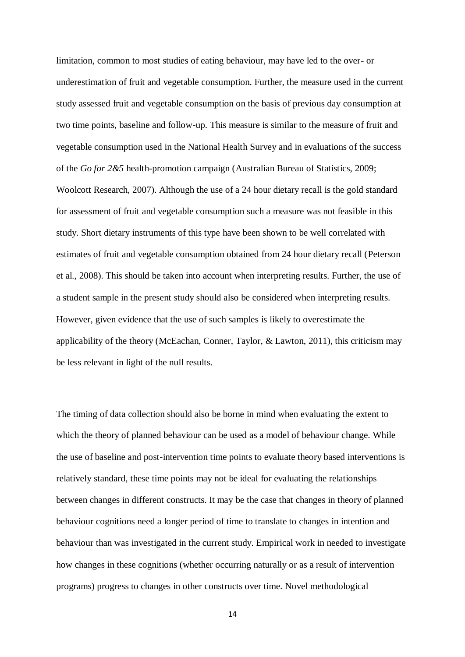limitation, common to most studies of eating behaviour, may have led to the over- or underestimation of fruit and vegetable consumption. Further, the measure used in the current study assessed fruit and vegetable consumption on the basis of previous day consumption at two time points, baseline and follow-up. This measure is similar to the measure of fruit and vegetable consumption used in the National Health Survey and in evaluations of the success of the *Go for 2&5* health-promotion campaign [\(Australian Bureau of Statistics, 2009;](#page-20-7) [Woolcott Research, 2007\)](#page-24-5). Although the use of a 24 hour dietary recall is the gold standard for assessment of fruit and vegetable consumption such a measure was not feasible in this study. Short dietary instruments of this type have been shown to be well correlated with estimates of fruit and vegetable consumption obtained from 24 hour dietary recall [\(Peterson](#page-23-3) [et al., 2008\)](#page-23-3). This should be taken into account when interpreting results. Further, the use of a student sample in the present study should also be considered when interpreting results. However, given evidence that the use of such samples is likely to overestimate the applicability of the theory [\(McEachan, Conner, Taylor, & Lawton, 2011\)](#page-23-4), this criticism may be less relevant in light of the null results.

The timing of data collection should also be borne in mind when evaluating the extent to which the theory of planned behaviour can be used as a model of behaviour change. While the use of baseline and post-intervention time points to evaluate theory based interventions is relatively standard, these time points may not be ideal for evaluating the relationships between changes in different constructs. It may be the case that changes in theory of planned behaviour cognitions need a longer period of time to translate to changes in intention and behaviour than was investigated in the current study. Empirical work in needed to investigate how changes in these cognitions (whether occurring naturally or as a result of intervention programs) progress to changes in other constructs over time. Novel methodological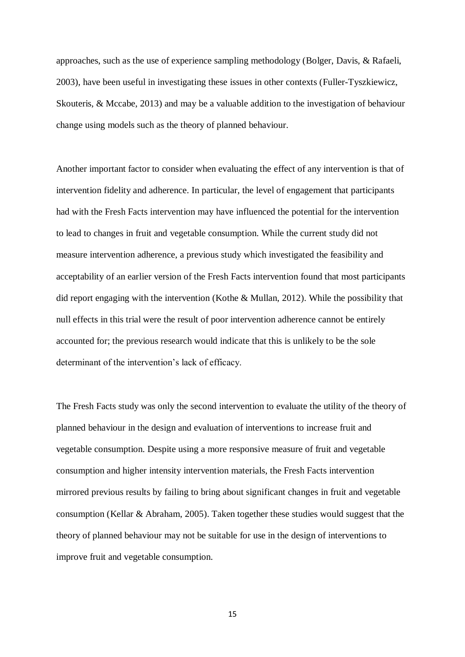approaches, such as the use of experience sampling methodology [\(Bolger, Davis, & Rafaeli,](#page-21-6) [2003\)](#page-21-6), have been useful in investigating these issues in other contexts [\(Fuller-Tyszkiewicz,](#page-22-7) [Skouteris, & Mccabe, 2013\)](#page-22-7) and may be a valuable addition to the investigation of behaviour change using models such as the theory of planned behaviour.

Another important factor to consider when evaluating the effect of any intervention is that of intervention fidelity and adherence. In particular, the level of engagement that participants had with the Fresh Facts intervention may have influenced the potential for the intervention to lead to changes in fruit and vegetable consumption. While the current study did not measure intervention adherence, a previous study which investigated the feasibility and acceptability of an earlier version of the Fresh Facts intervention found that most participants did report engaging with the intervention [\(Kothe & Mullan, 2012\)](#page-22-1). While the possibility that null effects in this trial were the result of poor intervention adherence cannot be entirely accounted for; the previous research would indicate that this is unlikely to be the sole determinant of the intervention's lack of efficacy.

The Fresh Facts study was only the second intervention to evaluate the utility of the theory of planned behaviour in the design and evaluation of interventions to increase fruit and vegetable consumption. Despite using a more responsive measure of fruit and vegetable consumption and higher intensity intervention materials, the Fresh Facts intervention mirrored previous results by failing to bring about significant changes in fruit and vegetable consumption [\(Kellar & Abraham, 2005\)](#page-22-4). Taken together these studies would suggest that the theory of planned behaviour may not be suitable for use in the design of interventions to improve fruit and vegetable consumption.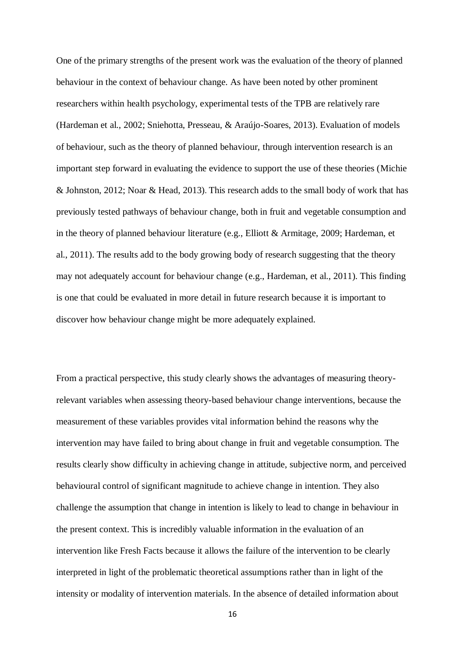One of the primary strengths of the present work was the evaluation of the theory of planned behaviour in the context of behaviour change. As have been noted by other prominent researchers within health psychology, experimental tests of the TPB are relatively rare [\(Hardeman et al., 2002;](#page-22-8) [Sniehotta, Presseau, & Araújo-Soares, 2013\)](#page-24-6). Evaluation of models of behaviour, such as the theory of planned behaviour, through intervention research is an important step forward in evaluating the evidence to support the use of these theories [\(Michie](#page-23-5) [& Johnston, 2012;](#page-23-5) [Noar & Head, 2013\)](#page-23-6). This research adds to the small body of work that has previously tested pathways of behaviour change, both in fruit and vegetable consumption and in the theory of planned behaviour literature (e.g., [Elliott & Armitage, 2009;](#page-21-7) [Hardeman, et](#page-22-3) [al., 2011\)](#page-22-3). The results add to the body growing body of research suggesting that the theory may not adequately account for behaviour change [\(e.g., Hardeman, et al., 2011\)](#page-22-3). This finding is one that could be evaluated in more detail in future research because it is important to discover how behaviour change might be more adequately explained.

From a practical perspective, this study clearly shows the advantages of measuring theoryrelevant variables when assessing theory-based behaviour change interventions, because the measurement of these variables provides vital information behind the reasons why the intervention may have failed to bring about change in fruit and vegetable consumption. The results clearly show difficulty in achieving change in attitude, subjective norm, and perceived behavioural control of significant magnitude to achieve change in intention. They also challenge the assumption that change in intention is likely to lead to change in behaviour in the present context. This is incredibly valuable information in the evaluation of an intervention like Fresh Facts because it allows the failure of the intervention to be clearly interpreted in light of the problematic theoretical assumptions rather than in light of the intensity or modality of intervention materials. In the absence of detailed information about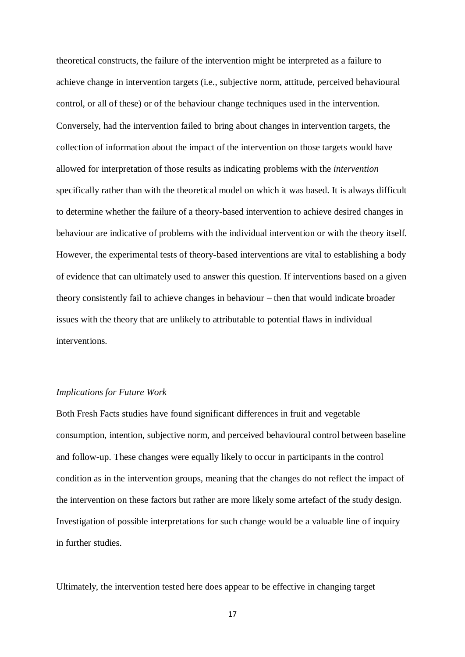theoretical constructs, the failure of the intervention might be interpreted as a failure to achieve change in intervention targets (i.e., subjective norm, attitude, perceived behavioural control, or all of these) or of the behaviour change techniques used in the intervention. Conversely, had the intervention failed to bring about changes in intervention targets, the collection of information about the impact of the intervention on those targets would have allowed for interpretation of those results as indicating problems with the *intervention*  specifically rather than with the theoretical model on which it was based. It is always difficult to determine whether the failure of a theory-based intervention to achieve desired changes in behaviour are indicative of problems with the individual intervention or with the theory itself. However, the experimental tests of theory-based interventions are vital to establishing a body of evidence that can ultimately used to answer this question. If interventions based on a given theory consistently fail to achieve changes in behaviour – then that would indicate broader issues with the theory that are unlikely to attributable to potential flaws in individual interventions.

#### *Implications for Future Work*

Both Fresh Facts studies have found significant differences in fruit and vegetable consumption, intention, subjective norm, and perceived behavioural control between baseline and follow-up. These changes were equally likely to occur in participants in the control condition as in the intervention groups, meaning that the changes do not reflect the impact of the intervention on these factors but rather are more likely some artefact of the study design. Investigation of possible interpretations for such change would be a valuable line of inquiry in further studies.

Ultimately, the intervention tested here does appear to be effective in changing target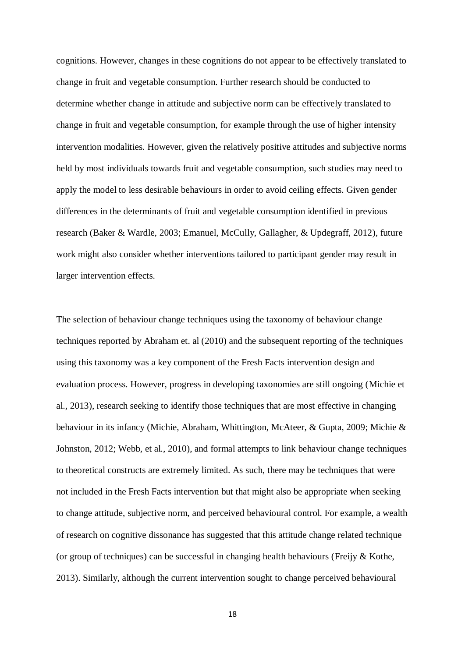cognitions. However, changes in these cognitions do not appear to be effectively translated to change in fruit and vegetable consumption. Further research should be conducted to determine whether change in attitude and subjective norm can be effectively translated to change in fruit and vegetable consumption, for example through the use of higher intensity intervention modalities. However, given the relatively positive attitudes and subjective norms held by most individuals towards fruit and vegetable consumption, such studies may need to apply the model to less desirable behaviours in order to avoid ceiling effects. Given gender differences in the determinants of fruit and vegetable consumption identified in previous research [\(Baker & Wardle, 2003;](#page-20-8) [Emanuel, McCully, Gallagher, & Updegraff, 2012\)](#page-21-8), future work might also consider whether interventions tailored to participant gender may result in larger intervention effects.

The selection of behaviour change techniques using the taxonomy of behaviour change techniques reported by Abraham et. al [\(2010\)](#page-20-9) and the subsequent reporting of the techniques using this taxonomy was a key component of the Fresh Facts intervention design and evaluation process. However, progress in developing taxonomies are still ongoing [\(Michie et](#page-23-7) [al., 2013\)](#page-23-7), research seeking to identify those techniques that are most effective in changing behaviour in its infancy [\(Michie, Abraham, Whittington, McAteer, & Gupta, 2009;](#page-23-8) [Michie &](#page-23-5) [Johnston, 2012;](#page-23-5) [Webb, et al., 2010\)](#page-24-2), and formal attempts to link behaviour change techniques to theoretical constructs are extremely limited. As such, there may be techniques that were not included in the Fresh Facts intervention but that might also be appropriate when seeking to change attitude, subjective norm, and perceived behavioural control. For example, a wealth of research on cognitive dissonance has suggested that this attitude change related technique (or group of techniques) can be successful in changing health behaviours (Freijy  $&$  Kothe, [2013\)](#page-22-9). Similarly, although the current intervention sought to change perceived behavioural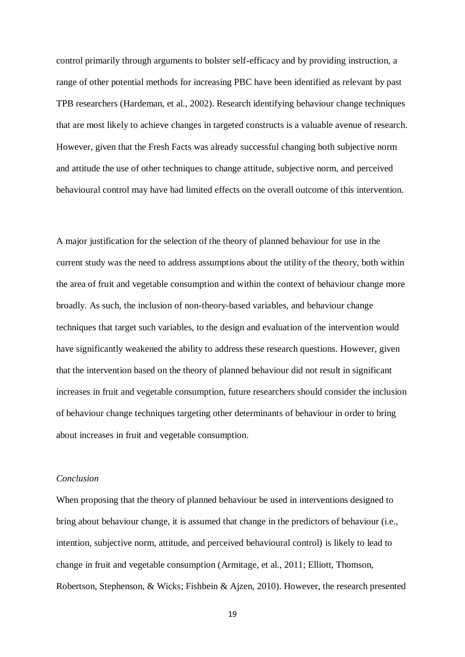control primarily through arguments to bolster self-efficacy and by providing instruction, a range of other potential methods for increasing PBC have been identified as relevant by past TPB researchers [\(Hardeman, et al., 2002\)](#page-22-8). Research identifying behaviour change techniques that are most likely to achieve changes in targeted constructs is a valuable avenue of research. However, given that the Fresh Facts was already successful changing both subjective norm and attitude the use of other techniques to change attitude, subjective norm, and perceived behavioural control may have had limited effects on the overall outcome of this intervention.

A major justification for the selection of the theory of planned behaviour for use in the current study was the need to address assumptions about the utility of the theory, both within the area of fruit and vegetable consumption and within the context of behaviour change more broadly. As such, the inclusion of non-theory-based variables, and behaviour change techniques that target such variables, to the design and evaluation of the intervention would have significantly weakened the ability to address these research questions. However, given that the intervention based on the theory of planned behaviour did not result in significant increases in fruit and vegetable consumption, future researchers should consider the inclusion of behaviour change techniques targeting other determinants of behaviour in order to bring about increases in fruit and vegetable consumption.

#### *Conclusion*

When proposing that the theory of planned behaviour be used in interventions designed to bring about behaviour change, it is assumed that change in the predictors of behaviour (i.e., intention, subjective norm, attitude, and perceived behavioural control) is likely to lead to change in fruit and vegetable consumption [\(Armitage, et al., 2011;](#page-20-5) [Elliott, Thomson,](#page-21-9) [Robertson, Stephenson, & Wicks;](#page-21-9) [Fishbein & Ajzen, 2010\)](#page-21-3). However, the research presented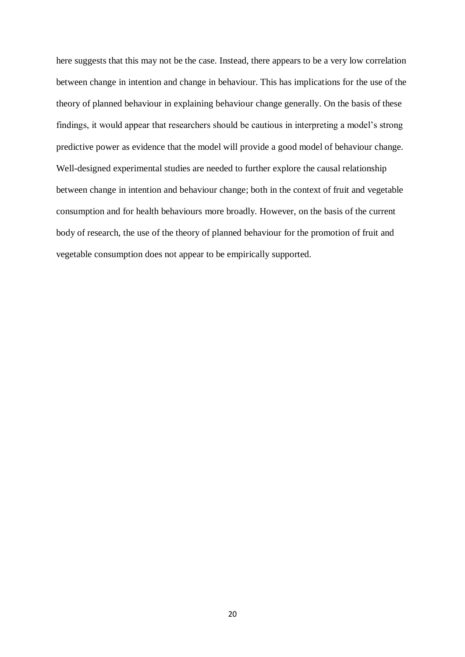here suggests that this may not be the case. Instead, there appears to be a very low correlation between change in intention and change in behaviour. This has implications for the use of the theory of planned behaviour in explaining behaviour change generally. On the basis of these findings, it would appear that researchers should be cautious in interpreting a model's strong predictive power as evidence that the model will provide a good model of behaviour change. Well-designed experimental studies are needed to further explore the causal relationship between change in intention and behaviour change; both in the context of fruit and vegetable consumption and for health behaviours more broadly. However, on the basis of the current body of research, the use of the theory of planned behaviour for the promotion of fruit and vegetable consumption does not appear to be empirically supported.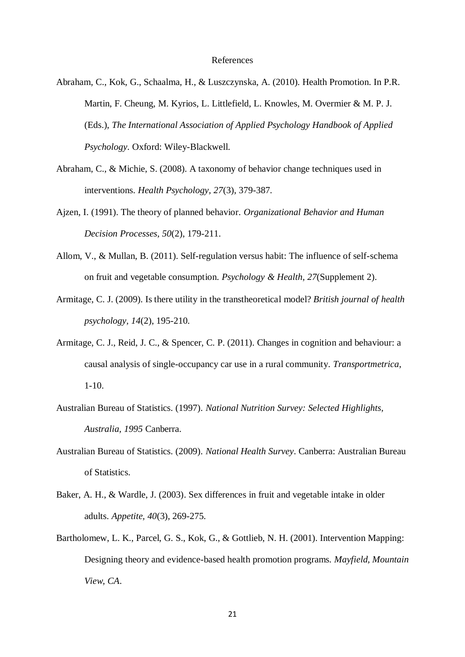#### References

<span id="page-20-9"></span>Abraham, C., Kok, G., Schaalma, H., & Luszczynska, A. (2010). Health Promotion. In P.R. Martin, F. Cheung, M. Kyrios, L. Littlefield, L. Knowles, M. Overmier & M. P. J. (Eds.), *The International Association of Applied Psychology Handbook of Applied Psychology*. Oxford: Wiley-Blackwell.

- <span id="page-20-4"></span>Abraham, C., & Michie, S. (2008). A taxonomy of behavior change techniques used in interventions. *Health Psychology, 27*(3), 379-387.
- <span id="page-20-1"></span>Ajzen, I. (1991). The theory of planned behavior. *Organizational Behavior and Human Decision Processes, 50*(2), 179-211.
- <span id="page-20-3"></span>Allom, V., & Mullan, B. (2011). Self-regulation versus habit: The influence of self-schema on fruit and vegetable consumption. *Psychology & Health, 27*(Supplement 2).
- <span id="page-20-6"></span>Armitage, C. J. (2009). Is there utility in the transtheoretical model? *British journal of health psychology, 14*(2), 195-210.
- <span id="page-20-5"></span>Armitage, C. J., Reid, J. C., & Spencer, C. P. (2011). Changes in cognition and behaviour: a causal analysis of single-occupancy car use in a rural community. *Transportmetrica*,  $1-10.$
- <span id="page-20-0"></span>Australian Bureau of Statistics. (1997). *National Nutrition Survey: Selected Highlights, Australia, 1995* Canberra.
- <span id="page-20-7"></span>Australian Bureau of Statistics. (2009). *National Health Survey*. Canberra: Australian Bureau of Statistics.
- <span id="page-20-8"></span>Baker, A. H., & Wardle, J. (2003). Sex differences in fruit and vegetable intake in older adults. *Appetite, 40*(3), 269-275.
- <span id="page-20-2"></span>Bartholomew, L. K., Parcel, G. S., Kok, G., & Gottlieb, N. H. (2001). Intervention Mapping: Designing theory and evidence-based health promotion programs. *Mayfield, Mountain View, CA*.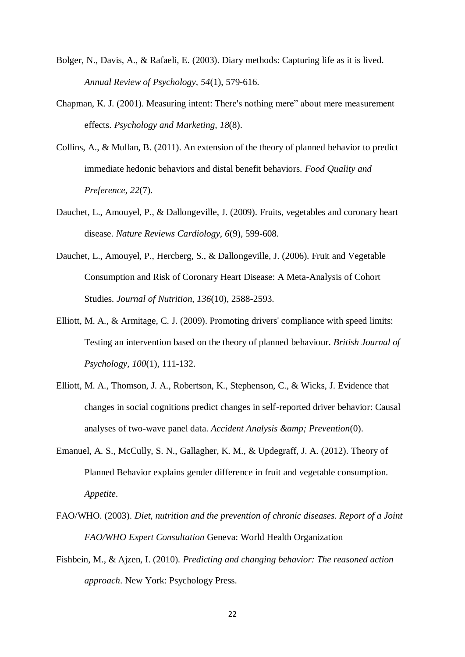- <span id="page-21-6"></span>Bolger, N., Davis, A., & Rafaeli, E. (2003). Diary methods: Capturing life as it is lived. *Annual Review of Psychology, 54*(1), 579-616.
- <span id="page-21-5"></span>Chapman, K. J. (2001). Measuring intent: There's nothing mere" about mere measurement effects. *Psychology and Marketing, 18*(8).
- <span id="page-21-4"></span>Collins, A., & Mullan, B. (2011). An extension of the theory of planned behavior to predict immediate hedonic behaviors and distal benefit behaviors. *Food Quality and Preference, 22*(7).
- <span id="page-21-0"></span>Dauchet, L., Amouyel, P., & Dallongeville, J. (2009). Fruits, vegetables and coronary heart disease. *Nature Reviews Cardiology, 6*(9), 599-608.
- <span id="page-21-1"></span>Dauchet, L., Amouyel, P., Hercberg, S., & Dallongeville, J. (2006). Fruit and Vegetable Consumption and Risk of Coronary Heart Disease: A Meta-Analysis of Cohort Studies. *Journal of Nutrition, 136*(10), 2588-2593.
- <span id="page-21-7"></span>Elliott, M. A., & Armitage, C. J. (2009). Promoting drivers' compliance with speed limits: Testing an intervention based on the theory of planned behaviour. *British Journal of Psychology, 100*(1), 111-132.
- <span id="page-21-9"></span>Elliott, M. A., Thomson, J. A., Robertson, K., Stephenson, C., & Wicks, J. Evidence that changes in social cognitions predict changes in self-reported driver behavior: Causal analyses of two-wave panel data. *Accident Analysis & amp*; *Prevention*(0).
- <span id="page-21-8"></span>Emanuel, A. S., McCully, S. N., Gallagher, K. M., & Updegraff, J. A. (2012). Theory of Planned Behavior explains gender difference in fruit and vegetable consumption. *Appetite*.
- <span id="page-21-2"></span>FAO/WHO. (2003). *Diet, nutrition and the prevention of chronic diseases. Report of a Joint FAO/WHO Expert Consultation* Geneva: World Health Organization
- <span id="page-21-3"></span>Fishbein, M., & Ajzen, I. (2010). *Predicting and changing behavior: The reasoned action approach*. New York: Psychology Press.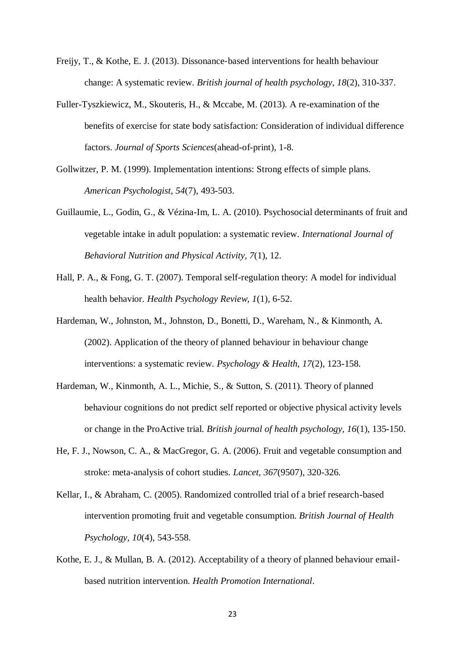- <span id="page-22-9"></span>Freijy, T., & Kothe, E. J. (2013). Dissonance‐based interventions for health behaviour change: A systematic review. *British journal of health psychology, 18*(2), 310-337.
- <span id="page-22-7"></span>Fuller-Tyszkiewicz, M., Skouteris, H., & Mccabe, M. (2013). A re-examination of the benefits of exercise for state body satisfaction: Consideration of individual difference factors. *Journal of Sports Sciences*(ahead-of-print), 1-8.
- <span id="page-22-6"></span>Gollwitzer, P. M. (1999). Implementation intentions: Strong effects of simple plans. *American Psychologist, 54*(7), 493-503.
- <span id="page-22-2"></span>Guillaumie, L., Godin, G., & Vézina-Im, L. A. (2010). Psychosocial determinants of fruit and vegetable intake in adult population: a systematic review. *International Journal of Behavioral Nutrition and Physical Activity, 7*(1), 12.
- <span id="page-22-5"></span>Hall, P. A., & Fong, G. T. (2007). Temporal self-regulation theory: A model for individual health behavior. *Health Psychology Review, 1*(1), 6-52.
- <span id="page-22-8"></span>Hardeman, W., Johnston, M., Johnston, D., Bonetti, D., Wareham, N., & Kinmonth, A. (2002). Application of the theory of planned behaviour in behaviour change interventions: a systematic review. *Psychology & Health, 17*(2), 123-158.
- <span id="page-22-3"></span>Hardeman, W., Kinmonth, A. L., Michie, S., & Sutton, S. (2011). Theory of planned behaviour cognitions do not predict self reported or objective physical activity levels or change in the ProActive trial. *British journal of health psychology, 16*(1), 135-150.
- <span id="page-22-0"></span>He, F. J., Nowson, C. A., & MacGregor, G. A. (2006). Fruit and vegetable consumption and stroke: meta-analysis of cohort studies. *Lancet, 367*(9507), 320-326.
- <span id="page-22-4"></span>Kellar, I., & Abraham, C. (2005). Randomized controlled trial of a brief research-based intervention promoting fruit and vegetable consumption. *British Journal of Health Psychology, 10*(4), 543-558.
- <span id="page-22-1"></span>Kothe, E. J., & Mullan, B. A. (2012). Acceptability of a theory of planned behaviour emailbased nutrition intervention. *Health Promotion International*.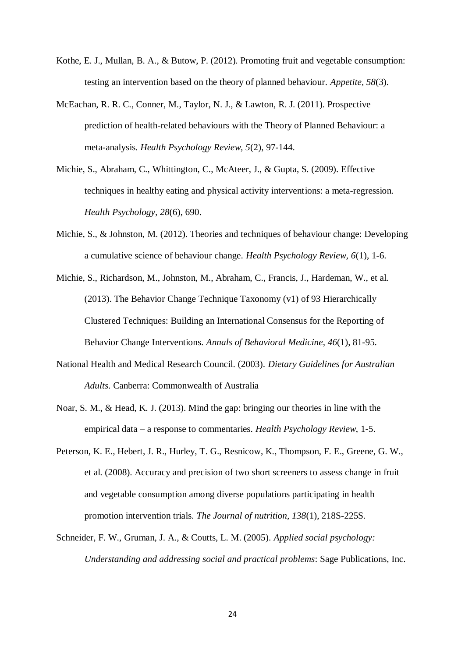- <span id="page-23-1"></span>Kothe, E. J., Mullan, B. A., & Butow, P. (2012). Promoting fruit and vegetable consumption: testing an intervention based on the theory of planned behaviour. *Appetite, 58*(3).
- <span id="page-23-4"></span>McEachan, R. R. C., Conner, M., Taylor, N. J., & Lawton, R. J. (2011). Prospective prediction of health-related behaviours with the Theory of Planned Behaviour: a meta-analysis. *Health Psychology Review, 5*(2), 97-144.
- <span id="page-23-8"></span>Michie, S., Abraham, C., Whittington, C., McAteer, J., & Gupta, S. (2009). Effective techniques in healthy eating and physical activity interventions: a meta-regression. *Health Psychology, 28*(6), 690.
- <span id="page-23-5"></span>Michie, S., & Johnston, M. (2012). Theories and techniques of behaviour change: Developing a cumulative science of behaviour change. *Health Psychology Review, 6*(1), 1-6.
- <span id="page-23-7"></span>Michie, S., Richardson, M., Johnston, M., Abraham, C., Francis, J., Hardeman, W., et al. (2013). The Behavior Change Technique Taxonomy (v1) of 93 Hierarchically Clustered Techniques: Building an International Consensus for the Reporting of Behavior Change Interventions. *Annals of Behavioral Medicine, 46*(1), 81-95.
- <span id="page-23-0"></span>National Health and Medical Research Council. (2003). *Dietary Guidelines for Australian Adults*. Canberra: Commonwealth of Australia
- <span id="page-23-6"></span>Noar, S. M., & Head, K. J. (2013). Mind the gap: bringing our theories in line with the empirical data – a response to commentaries. *Health Psychology Review*, 1-5.
- <span id="page-23-3"></span>Peterson, K. E., Hebert, J. R., Hurley, T. G., Resnicow, K., Thompson, F. E., Greene, G. W., et al. (2008). Accuracy and precision of two short screeners to assess change in fruit and vegetable consumption among diverse populations participating in health promotion intervention trials. *The Journal of nutrition, 138*(1), 218S-225S.
- <span id="page-23-2"></span>Schneider, F. W., Gruman, J. A., & Coutts, L. M. (2005). *Applied social psychology: Understanding and addressing social and practical problems*: Sage Publications, Inc.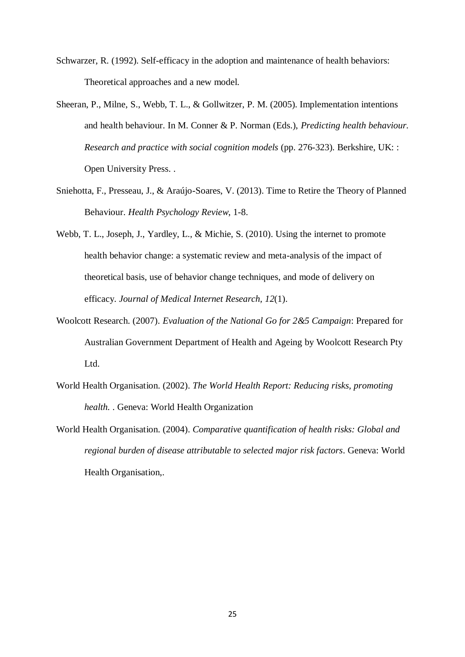- <span id="page-24-3"></span>Schwarzer, R. (1992). Self-efficacy in the adoption and maintenance of health behaviors: Theoretical approaches and a new model.
- <span id="page-24-4"></span>Sheeran, P., Milne, S., Webb, T. L., & Gollwitzer, P. M. (2005). Implementation intentions and health behaviour. In M. Conner & P. Norman (Eds.), *Predicting health behaviour. Research and practice with social cognition models* (pp. 276-323). Berkshire, UK: : Open University Press. .
- <span id="page-24-6"></span>Sniehotta, F., Presseau, J., & Araújo-Soares, V. (2013). Time to Retire the Theory of Planned Behaviour. *Health Psychology Review*, 1-8.
- <span id="page-24-2"></span>Webb, T. L., Joseph, J., Yardley, L., & Michie, S. (2010). Using the internet to promote health behavior change: a systematic review and meta-analysis of the impact of theoretical basis, use of behavior change techniques, and mode of delivery on efficacy. *Journal of Medical Internet Research, 12*(1).
- <span id="page-24-5"></span>Woolcott Research. (2007). *Evaluation of the National Go for 2&5 Campaign*: Prepared for Australian Government Department of Health and Ageing by Woolcott Research Pty Ltd.
- <span id="page-24-0"></span>World Health Organisation. (2002). *The World Health Report: Reducing risks, promoting health.* . Geneva: World Health Organization
- <span id="page-24-1"></span>World Health Organisation. (2004). *Comparative quantification of health risks: Global and regional burden of disease attributable to selected major risk factors*. Geneva: World Health Organisation,.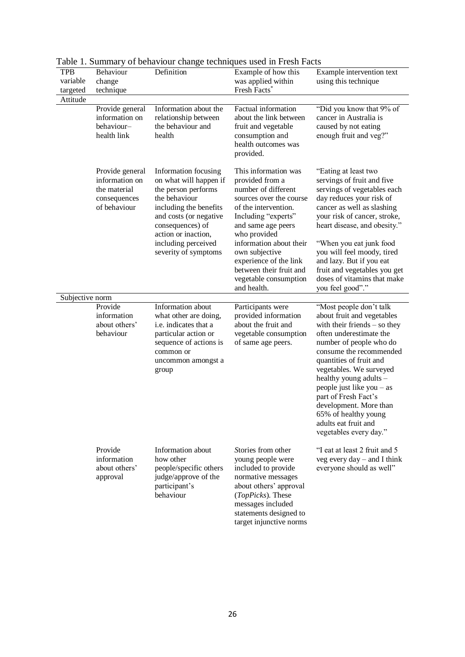| $10010$ 1. Summary<br>TPB<br>variable<br>targeted | Behaviour<br>change<br>technique                                                  | Definition                                                                                                                                                                                                                           | $\cdots$ where $\cdots$<br>Example of how this<br>was applied within<br>Fresh Facts*                                                                                                                                                                                                                                     | Example intervention text<br>using this technique                                                                                                                                                                                                                                                                                                                                                                 |  |
|---------------------------------------------------|-----------------------------------------------------------------------------------|--------------------------------------------------------------------------------------------------------------------------------------------------------------------------------------------------------------------------------------|--------------------------------------------------------------------------------------------------------------------------------------------------------------------------------------------------------------------------------------------------------------------------------------------------------------------------|-------------------------------------------------------------------------------------------------------------------------------------------------------------------------------------------------------------------------------------------------------------------------------------------------------------------------------------------------------------------------------------------------------------------|--|
| Attitude                                          |                                                                                   |                                                                                                                                                                                                                                      |                                                                                                                                                                                                                                                                                                                          |                                                                                                                                                                                                                                                                                                                                                                                                                   |  |
|                                                   | Provide general<br>information on<br>behaviour-<br>health link                    | Information about the<br>relationship between<br>the behaviour and<br>health                                                                                                                                                         | Factual information<br>about the link between<br>fruit and vegetable<br>consumption and<br>health outcomes was<br>provided.                                                                                                                                                                                              | "Did you know that 9% of<br>cancer in Australia is<br>caused by not eating<br>enough fruit and veg?"                                                                                                                                                                                                                                                                                                              |  |
|                                                   | Provide general<br>information on<br>the material<br>consequences<br>of behaviour | Information focusing<br>on what will happen if<br>the person performs<br>the behaviour<br>including the benefits<br>and costs (or negative<br>consequences) of<br>action or inaction,<br>including perceived<br>severity of symptoms | This information was<br>provided from a<br>number of different<br>sources over the course<br>of the intervention.<br>Including "experts"<br>and same age peers<br>who provided<br>information about their<br>own subjective<br>experience of the link<br>between their fruit and<br>vegetable consumption<br>and health. | "Eating at least two<br>servings of fruit and five<br>servings of vegetables each<br>day reduces your risk of<br>cancer as well as slashing<br>your risk of cancer, stroke,<br>heart disease, and obesity."<br>"When you eat junk food<br>you will feel moody, tired<br>and lazy. But if you eat<br>fruit and vegetables you get<br>doses of vitamins that make<br>you feel good"."                               |  |
| Subjective norm                                   |                                                                                   |                                                                                                                                                                                                                                      |                                                                                                                                                                                                                                                                                                                          |                                                                                                                                                                                                                                                                                                                                                                                                                   |  |
|                                                   | Provide<br>information<br>about others'<br>behaviour                              | Information about<br>what other are doing,<br>i.e. indicates that a<br>particular action or<br>sequence of actions is<br>common or<br>uncommon amongst a<br>group                                                                    | Participants were<br>provided information<br>about the fruit and<br>vegetable consumption<br>of same age peers.                                                                                                                                                                                                          | "Most people don't talk<br>about fruit and vegetables<br>with their friends $-$ so they<br>often underestimate the<br>number of people who do<br>consume the recommended<br>quantities of fruit and<br>vegetables. We surveyed<br>healthy young adults -<br>people just like you - as<br>part of Fresh Fact's<br>development. More than<br>65% of healthy young<br>adults eat fruit and<br>vegetables every day." |  |
|                                                   | Provide<br>information<br>about others'<br>approval                               | Information about<br>how other<br>people/specific others<br>judge/approve of the<br>participant's<br>behaviour                                                                                                                       | Stories from other<br>young people were<br>included to provide<br>normative messages<br>about others' approval<br>(TopPicks). These<br>messages included<br>statements designed to                                                                                                                                       | "I eat at least 2 fruit and 5<br>veg every $day -$ and I think<br>everyone should as well"                                                                                                                                                                                                                                                                                                                        |  |

Table 1. Summary of behaviour change techniques used in Fresh Facts

target injunctive norms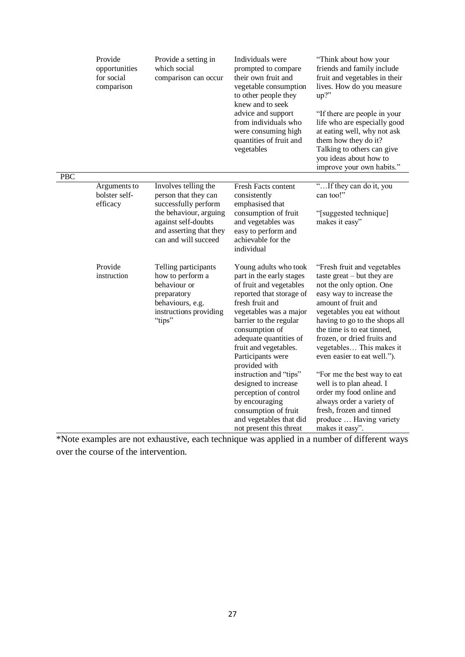|            | Provide<br>opportunities<br>for social<br>comparison | Provide a setting in<br>which social<br>comparison can occur                                                                                                             | Individuals were<br>prompted to compare<br>their own fruit and<br>vegetable consumption<br>to other people they<br>knew and to seek<br>advice and support<br>from individuals who<br>were consuming high<br>quantities of fruit and<br>vegetables                                                                                                                                                                                                                     | "Think about how your<br>friends and family include<br>fruit and vegetables in their<br>lives. How do you measure<br>$up?$ "<br>"If there are people in your<br>life who are especially good<br>at eating well, why not ask<br>them how they do it?<br>Talking to others can give<br>you ideas about how to<br>improve your own habits."                                                                                                                                                                                        |  |  |
|------------|------------------------------------------------------|--------------------------------------------------------------------------------------------------------------------------------------------------------------------------|-----------------------------------------------------------------------------------------------------------------------------------------------------------------------------------------------------------------------------------------------------------------------------------------------------------------------------------------------------------------------------------------------------------------------------------------------------------------------|---------------------------------------------------------------------------------------------------------------------------------------------------------------------------------------------------------------------------------------------------------------------------------------------------------------------------------------------------------------------------------------------------------------------------------------------------------------------------------------------------------------------------------|--|--|
| <b>PBC</b> |                                                      |                                                                                                                                                                          |                                                                                                                                                                                                                                                                                                                                                                                                                                                                       |                                                                                                                                                                                                                                                                                                                                                                                                                                                                                                                                 |  |  |
|            | Arguments to<br>bolster self-<br>efficacy            | Involves telling the<br>person that they can<br>successfully perform<br>the behaviour, arguing<br>against self-doubts<br>and asserting that they<br>can and will succeed | Fresh Facts content<br>consistently<br>emphasised that<br>consumption of fruit<br>and vegetables was<br>easy to perform and<br>achievable for the<br>individual                                                                                                                                                                                                                                                                                                       | "If they can do it, you<br>can too!"<br>"[suggested technique]<br>makes it easy"                                                                                                                                                                                                                                                                                                                                                                                                                                                |  |  |
|            | Provide<br>instruction                               | Telling participants<br>how to perform a<br>behaviour or<br>preparatory<br>behaviours, e.g.<br>instructions providing<br>"tips"                                          | Young adults who took<br>part in the early stages<br>of fruit and vegetables<br>reported that storage of<br>fresh fruit and<br>vegetables was a major<br>barrier to the regular<br>consumption of<br>adequate quantities of<br>fruit and vegetables.<br>Participants were<br>provided with<br>instruction and "tips"<br>designed to increase<br>perception of control<br>by encouraging<br>consumption of fruit<br>and vegetables that did<br>not present this threat | "Fresh fruit and vegetables<br>taste great $-$ but they are<br>not the only option. One<br>easy way to increase the<br>amount of fruit and<br>vegetables you eat without<br>having to go to the shops all<br>the time is to eat tinned,<br>frozen, or dried fruits and<br>vegetables This makes it<br>even easier to eat well.").<br>"For me the best way to eat<br>well is to plan ahead. I<br>order my food online and<br>always order a variety of<br>fresh, frozen and tinned<br>produce  Having variety<br>makes it easy". |  |  |

\*Note examples are not exhaustive, each technique was applied in a number of different ways over the course of the intervention.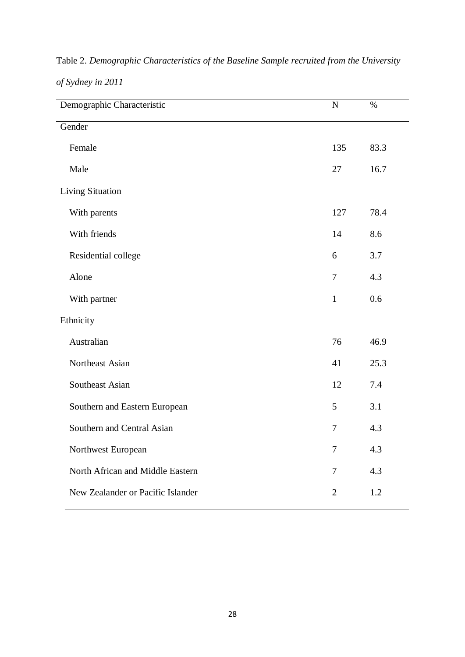| Demographic Characteristic        | $\mathbf N$    | $\%$    |
|-----------------------------------|----------------|---------|
| Gender                            |                |         |
| Female                            | 135            | 83.3    |
| Male                              | 27             | 16.7    |
| <b>Living Situation</b>           |                |         |
| With parents                      | 127            | 78.4    |
| With friends                      | 14             | 8.6     |
| Residential college               | 6              | 3.7     |
| Alone                             | $\tau$         | 4.3     |
| With partner                      | $\mathbf{1}$   | 0.6     |
| Ethnicity                         |                |         |
| Australian                        | 76             | 46.9    |
| Northeast Asian                   | 41             | 25.3    |
| Southeast Asian                   | 12             | 7.4     |
| Southern and Eastern European     | 5              | 3.1     |
| Southern and Central Asian        | $\overline{7}$ | 4.3     |
| Northwest European                | $\overline{7}$ | 4.3     |
| North African and Middle Eastern  | $\overline{7}$ | 4.3     |
| New Zealander or Pacific Islander | $\overline{2}$ | $1.2\,$ |

Table 2. *Demographic Characteristics of the Baseline Sample recruited from the University of Sydney in 2011*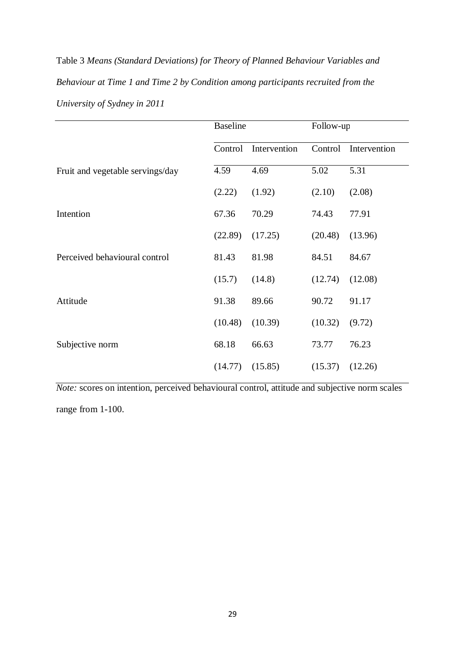Table 3 *Means (Standard Deviations) for Theory of Planned Behaviour Variables and Behaviour at Time 1 and Time 2 by Condition among participants recruited from the University of Sydney in 2011*

|                                  | <b>Baseline</b> |              | Follow-up |              |  |
|----------------------------------|-----------------|--------------|-----------|--------------|--|
|                                  | Control         | Intervention | Control   | Intervention |  |
| Fruit and vegetable servings/day | 4.59            | 4.69         | 5.02      | 5.31         |  |
|                                  | (2.22)          | (1.92)       | (2.10)    | (2.08)       |  |
| Intention                        | 67.36           | 70.29        | 74.43     | 77.91        |  |
|                                  | (22.89)         | (17.25)      | (20.48)   | (13.96)      |  |
| Perceived behavioural control    | 81.43           | 81.98        | 84.51     | 84.67        |  |
|                                  | (15.7)          | (14.8)       | (12.74)   | (12.08)      |  |
| Attitude                         | 91.38           | 89.66        | 90.72     | 91.17        |  |
|                                  | (10.48)         | (10.39)      | (10.32)   | (9.72)       |  |
| Subjective norm                  | 68.18           | 66.63        | 73.77     | 76.23        |  |
|                                  | (14.77)         | (15.85)      | (15.37)   | (12.26)      |  |

*Note:* scores on intention, perceived behavioural control, attitude and subjective norm scales range from 1-100.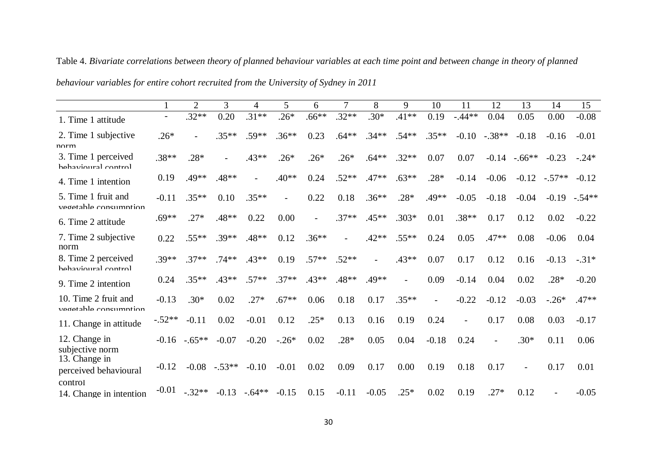|                                               |          | $\overline{2}$ | 3        | 4        | 5       | 6       | 7       | 8       | 9              | 10             | 11                       | 12                       | 13       | 14       | 15       |
|-----------------------------------------------|----------|----------------|----------|----------|---------|---------|---------|---------|----------------|----------------|--------------------------|--------------------------|----------|----------|----------|
| 1. Time 1 attitude                            |          | $.32**$        | 0.20     | $.31**$  | $.26*$  | $.66**$ | $.32**$ | $.30*$  | $.41**$        | 0.19           | $-.44**$                 | 0.04                     | 0.05     | 0.00     | $-0.08$  |
| 2. Time 1 subjective<br>norm                  | $.26*$   |                | $.35**$  | $.59**$  | $.36**$ | 0.23    | $.64**$ | $.34**$ | $.54**$        | $.35***$       | $-0.10$                  | $-.38**$                 | $-0.18$  | $-0.16$  | $-0.01$  |
| 3. Time 1 perceived<br>hehavioural control    | $.38**$  | $.28*$         |          | $.43**$  | $.26*$  | $.26*$  | $.26*$  | $.64**$ | $.32**$        | 0.07           | 0.07                     | $-0.14$                  | $-.66**$ | $-0.23$  | $-.24*$  |
| 4. Time 1 intention                           | 0.19     | .49**          | $.48**$  |          | $.40**$ | 0.24    | $.52**$ | $.47**$ | $.63**$        | $.28*$         | $-0.14$                  | $-0.06$                  | $-0.12$  | $-.57**$ | $-0.12$  |
| 5. Time 1 fruit and<br>vegetable consumption  | $-0.11$  | $.35**$        | 0.10     | $.35**$  |         | 0.22    | 0.18    | $.36**$ | $.28*$         | $.49**$        | $-0.05$                  | $-0.18$                  | $-0.04$  | $-0.19$  | $-.54**$ |
| 6. Time 2 attitude                            | $.69**$  | $.27*$         | $.48**$  | 0.22     | 0.00    |         | $.37**$ | $.45**$ | $.303*$        | 0.01           | $.38**$                  | 0.17                     | 0.12     | 0.02     | $-0.22$  |
| 7. Time 2 subjective<br>norm                  | 0.22     | $.55**$        | $.39**$  | $.48**$  | 0.12    | $.36**$ |         | $.42**$ | $.55***$       | 0.24           | 0.05                     | $.47**$                  | 0.08     | $-0.06$  | 0.04     |
| 8. Time 2 perceived<br>hehavioural control    | $.39**$  | $.37**$        | $.74**$  | $.43**$  | 0.19    | $.57**$ | $.52**$ |         | $.43**$        | 0.07           | 0.17                     | 0.12                     | 0.16     | $-0.13$  | $-.31*$  |
| 9. Time 2 intention                           | 0.24     | $.35**$        | $.43**$  | $.57**$  | $.37**$ | $.43**$ | $.48**$ | $.49**$ | $\overline{a}$ | 0.09           | $-0.14$                  | 0.04                     | 0.02     | $.28*$   | $-0.20$  |
| 10. Time 2 fruit and<br>vegetable consumption | $-0.13$  | $.30*$         | 0.02     | $.27*$   | $.67**$ | 0.06    | 0.18    | 0.17    | $.35**$        | $\overline{a}$ | $-0.22$                  | $-0.12$                  | $-0.03$  | $-.26*$  | $.47**$  |
| 11. Change in attitude                        | $-.52**$ | $-0.11$        | 0.02     | $-0.01$  | 0.12    | $.25*$  | 0.13    | 0.16    | 0.19           | 0.24           | $\overline{\phantom{0}}$ | 0.17                     | 0.08     | 0.03     | $-0.17$  |
| 12. Change in<br>subjective norm              | $-0.16$  | $-.65**$       | $-0.07$  | $-0.20$  | $-.26*$ | 0.02    | $.28*$  | 0.05    | 0.04           | $-0.18$        | 0.24                     | $\overline{\phantom{a}}$ | $.30*$   | 0.11     | 0.06     |
| 13. Change in<br>perceived behavioural        | $-0.12$  | $-0.08$        | $-.53**$ | $-0.10$  | $-0.01$ | 0.02    | 0.09    | 0.17    | 0.00           | 0.19           | 0.18                     | 0.17                     |          | 0.17     | 0.01     |
| control<br>14. Change in intention            | $-0.01$  | $-.32**$       | $-0.13$  | $-.64**$ | $-0.15$ | 0.15    | $-0.11$ | $-0.05$ | $.25*$         | 0.02           | 0.19                     | $.27*$                   | 0.12     |          | $-0.05$  |

Table 4. *Bivariate correlations between theory of planned behaviour variables at each time point and between change in theory of planned* 

*behaviour variables for entire cohort recruited from the University of Sydney in 2011*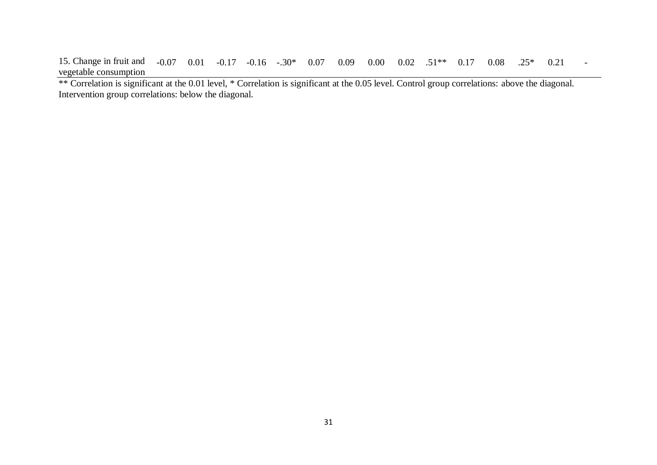15. Change in fruit and vegetable consumption  $-0.07$   $0.01$   $-0.17$   $-0.16$   $-0.30*$   $0.07$   $0.09$   $0.00$   $0.02$   $0.51**$   $0.17$   $0.08$   $0.25*$   $0.21$   $-0.05$ 

\*\* Correlation is significant at the 0.01 level, \* Correlation is significant at the 0.05 level. Control group correlations: above the diagonal. Intervention group correlations: below the diagonal.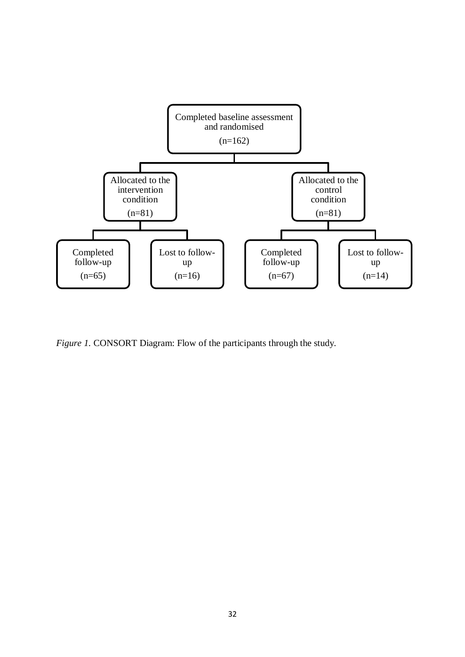

*Figure 1.* CONSORT Diagram: Flow of the participants through the study.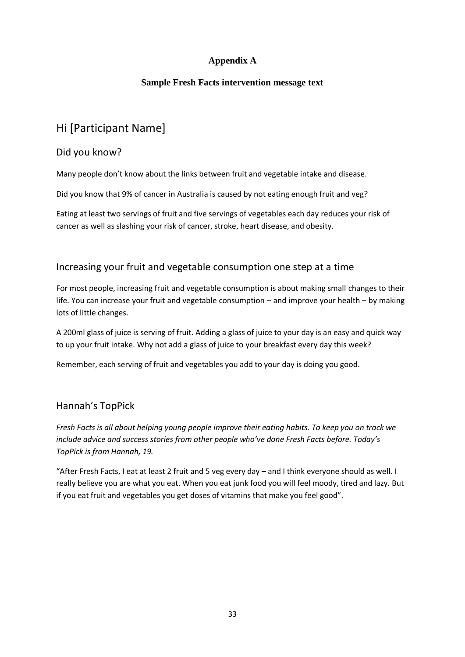## **Appendix A**

### **Sample Fresh Facts intervention message text**

# Hi [Participant Name]

### Did you know?

Many people don't know about the links between fruit and vegetable intake and disease.

Did you know that 9% of cancer in Australia is caused by not eating enough fruit and veg?

Eating at least two servings of fruit and five servings of vegetables each day reduces your risk of cancer as well as slashing your risk of cancer, stroke, heart disease, and obesity.

## Increasing your fruit and vegetable consumption one step at a time

For most people, increasing fruit and vegetable consumption is about making small changes to their life. You can increase your fruit and vegetable consumption – and improve your health – by making lots of little changes.

A 200ml glass of juice is serving of fruit. Adding a glass of juice to your day is an easy and quick way to up your fruit intake. Why not add a glass of juice to your breakfast every day this week?

Remember, each serving of fruit and vegetables you add to your day is doing you good.

# Hannah's TopPick

*Fresh Facts is all about helping young people improve their eating habits. To keep you on track we include advice and success stories from other people who've done Fresh Facts before. Today's TopPick is from Hannah, 19.*

"After Fresh Facts, I eat at least 2 fruit and 5 veg every day – and I think everyone should as well. I really believe you are what you eat. When you eat junk food you will feel moody, tired and lazy. But if you eat fruit and vegetables you get doses of vitamins that make you feel good".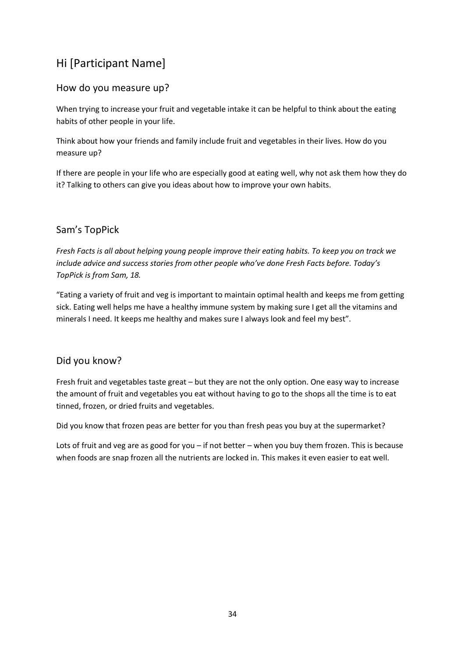# Hi [Participant Name]

## How do you measure up?

When trying to increase your fruit and vegetable intake it can be helpful to think about the eating habits of other people in your life.

Think about how your friends and family include fruit and vegetables in their lives. How do you measure up?

If there are people in your life who are especially good at eating well, why not ask them how they do it? Talking to others can give you ideas about how to improve your own habits.

## Sam's TopPick

*Fresh Facts is all about helping young people improve their eating habits. To keep you on track we include advice and success stories from other people who've done Fresh Facts before. Today's TopPick is from Sam, 18.*

"Eating a variety of fruit and veg is important to maintain optimal health and keeps me from getting sick. Eating well helps me have a healthy immune system by making sure I get all the vitamins and minerals I need. It keeps me healthy and makes sure I always look and feel my best".

### Did you know?

Fresh fruit and vegetables taste great – but they are not the only option. One easy way to increase the amount of fruit and vegetables you eat without having to go to the shops all the time is to eat tinned, frozen, or dried fruits and vegetables.

Did you know that frozen peas are better for you than fresh peas you buy at the supermarket?

Lots of fruit and veg are as good for you – if not better – when you buy them frozen. This is because when foods are snap frozen all the nutrients are locked in. This makes it even easier to eat well.